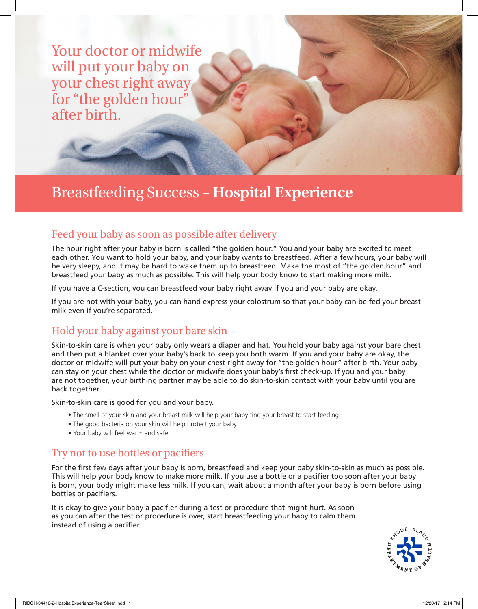Your doctor or midwife will put your baby on your chest right away for "the golden hour" after birth.

# Breastfeeding Success – **Hospital Experience**

# Feed your baby as soon as possible after delivery

The hour right after your baby is born is called "the golden hour." You and your baby are excited to meet each other. You want to hold your baby, and your baby wants to breastfeed. After a few hours, your baby will be very sleepy, and it may be hard to wake them up to breastfeed. Make the most of "the golden hour" and breastfeed your baby as much as possible. This will help your body know to start making more milk.

If you have a C-section, you can breastfeed your baby right away if you and your baby are okay.

If you are not with your baby, you can hand express your colostrum so that your baby can be fed your breast milk even if you're separated.

# Hold your baby against your bare skin

Skin-to-skin care is when your baby only wears a diaper and hat. You hold your baby against your bare chest and then put a blanket over your baby's back to keep you both warm. If you and your baby are okay, the doctor or midwife will put your baby on your chest right away for "the golden hour" after birth. Your baby can stay on your chest while the doctor or midwife does your baby's first check-up. If you and your baby are not together, your birthing partner may be able to do skin-to-skin contact with your baby until you are back together.

Skin-to-skin care is good for you and your baby.

- The smell of your skin and your breast milk will help your baby find your breast to start feeding.
- The good bacteria on your skin will help protect your baby.
- Your baby will feel warm and safe.

# Try not to use bottles or pacifiers

For the first few days after your baby is born, breastfeed and keep your baby skin-to-skin as much as possible. This will help your body know to make more milk. If you use a bottle or a pacifier too soon after your baby is born, your body might make less milk. If you can, wait about a month after your baby is born before using bottles or pacifiers.

It is okay to give your baby a pacifier during a test or procedure that might hurt. As soon as you can after the test or procedure is over, start breastfeeding your baby to calm them instead of using a pacifier.